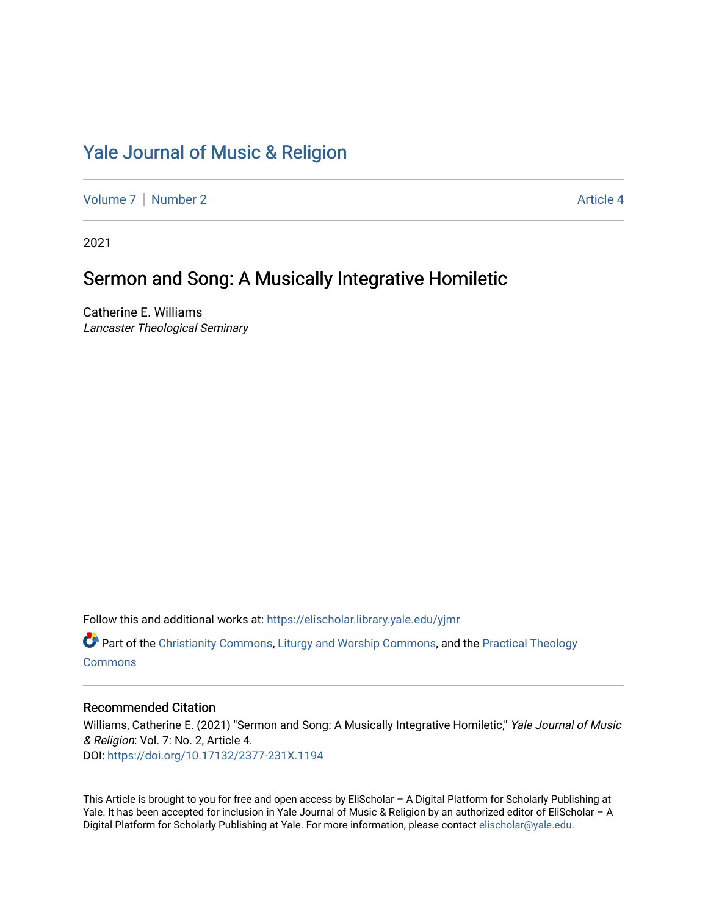# [Yale Journal of Music & Religion](https://elischolar.library.yale.edu/yjmr)

[Volume 7](https://elischolar.library.yale.edu/yjmr/vol7) | [Number 2](https://elischolar.library.yale.edu/yjmr/vol7/iss2) Article 4

2021

## Sermon and Song: A Musically Integrative Homiletic

Catherine E. Williams Lancaster Theological Seminary

Follow this and additional works at: [https://elischolar.library.yale.edu/yjmr](https://elischolar.library.yale.edu/yjmr?utm_source=elischolar.library.yale.edu%2Fyjmr%2Fvol7%2Fiss2%2F4&utm_medium=PDF&utm_campaign=PDFCoverPages) 

**Part of the [Christianity Commons,](http://network.bepress.com/hgg/discipline/1181?utm_source=elischolar.library.yale.edu%2Fyjmr%2Fvol7%2Fiss2%2F4&utm_medium=PDF&utm_campaign=PDFCoverPages) [Liturgy and Worship Commons](http://network.bepress.com/hgg/discipline/1188?utm_source=elischolar.library.yale.edu%2Fyjmr%2Fvol7%2Fiss2%2F4&utm_medium=PDF&utm_campaign=PDFCoverPages), and the Practical Theology [Commons](http://network.bepress.com/hgg/discipline/1186?utm_source=elischolar.library.yale.edu%2Fyjmr%2Fvol7%2Fiss2%2F4&utm_medium=PDF&utm_campaign=PDFCoverPages)** 

#### Recommended Citation

Williams, Catherine E. (2021) "Sermon and Song: A Musically Integrative Homiletic," Yale Journal of Music & Religion: Vol. 7: No. 2, Article 4. DOI:<https://doi.org/10.17132/2377-231X.1194>

This Article is brought to you for free and open access by EliScholar – A Digital Platform for Scholarly Publishing at Yale. It has been accepted for inclusion in Yale Journal of Music & Religion by an authorized editor of EliScholar - A Digital Platform for Scholarly Publishing at Yale. For more information, please contact [elischolar@yale.edu.](mailto:elischolar@yale.edu)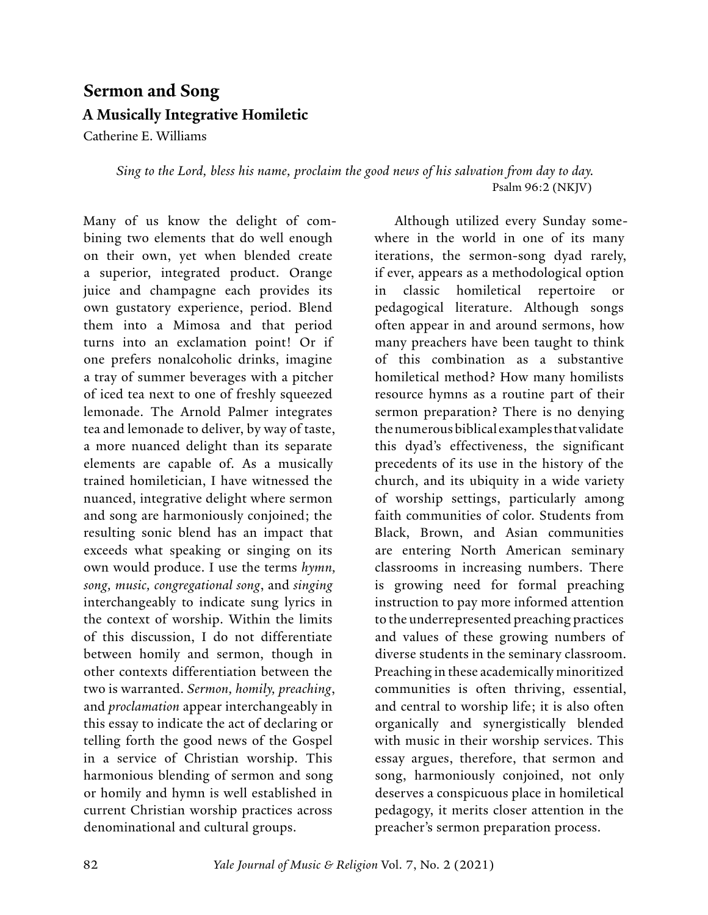# **Sermon and Song A Musically Integrative Homiletic**

Catherine E. Williams

*Sing to the Lord, bless his name, proclaim the good news of his salvation from day to day.* Psalm 96:2 (NKJV)

Many of us know the delight of combining two elements that do well enough on their own, yet when blended create a superior, integrated product. Orange juice and champagne each provides its own gustatory experience, period. Blend them into a Mimosa and that period turns into an exclamation point! Or if one prefers nonalcoholic drinks, imagine a tray of summer beverages with a pitcher of iced tea next to one of freshly squeezed lemonade. The Arnold Palmer integrates tea and lemonade to deliver, by way of taste, a more nuanced delight than its separate elements are capable of. As a musically trained homiletician, I have witnessed the nuanced, integrative delight where sermon and song are harmoniously conjoined; the resulting sonic blend has an impact that exceeds what speaking or singing on its own would produce. I use the terms *hymn, song, music, congregational song*, and *singing* interchangeably to indicate sung lyrics in the context of worship. Within the limits of this discussion, I do not differentiate between homily and sermon, though in other contexts differentiation between the two is warranted. *Sermon, homily, preaching*, and *proclamation* appear interchangeably in this essay to indicate the act of declaring or telling forth the good news of the Gospel in a service of Christian worship. This harmonious blending of sermon and song or homily and hymn is well established in current Christian worship practices across denominational and cultural groups.

Although utilized every Sunday somewhere in the world in one of its many iterations, the sermon-song dyad rarely, if ever, appears as a methodological option in classic homiletical repertoire or pedagogical literature. Although songs often appear in and around sermons, how many preachers have been taught to think of this combination as a substantive homiletical method? How many homilists resource hymns as a routine part of their sermon preparation? There is no denying the numerous biblical examples that validate this dyad's effectiveness, the significant precedents of its use in the history of the church, and its ubiquity in a wide variety of worship settings, particularly among faith communities of color. Students from Black, Brown, and Asian communities are entering North American seminary classrooms in increasing numbers. There is growing need for formal preaching instruction to pay more informed attention to the underrepresented preaching practices and values of these growing numbers of diverse students in the seminary classroom. Preaching in these academically minoritized communities is often thriving, essential, and central to worship life; it is also often organically and synergistically blended with music in their worship services. This essay argues, therefore, that sermon and song, harmoniously conjoined, not only deserves a conspicuous place in homiletical pedagogy, it merits closer attention in the preacher's sermon preparation process.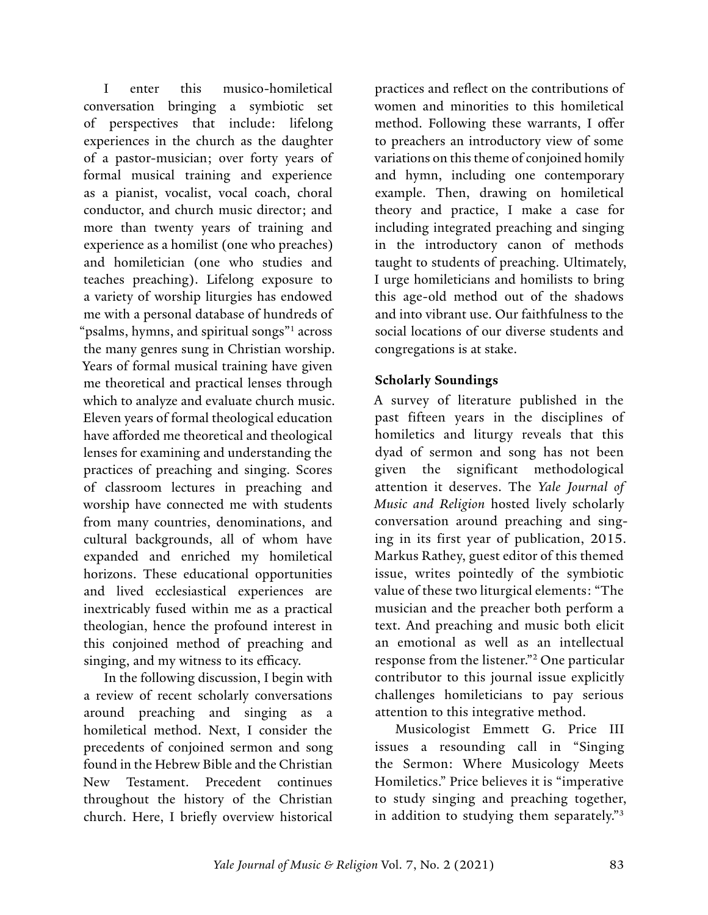<span id="page-2-0"></span>I enter this musico-homiletical conversation bringing a symbiotic set of perspectives that include: lifelong experiences in the church as the daughter of a pastor-musician; over forty years of formal musical training and experience as a pianist, vocalist, vocal coach, choral conductor, and church music director; and more than twenty years of training and experience as a homilist (one who preaches) and homiletician (one who studies and teaches preaching). Lifelong exposure to a variety of worship liturgies has endowed me with a personal database of hundreds of "psalms, hymns, and spiritual songs"[1](#page-15-0) across the many genres sung in Christian worship. Years of formal musical training have given me theoretical and practical lenses through which to analyze and evaluate church music. Eleven years of formal theological education have afforded me theoretical and theological lenses for examining and understanding the practices of preaching and singing. Scores of classroom lectures in preaching and worship have connected me with students from many countries, denominations, and cultural backgrounds, all of whom have expanded and enriched my homiletical horizons. These educational opportunities and lived ecclesiastical experiences are inextricably fused within me as a practical theologian, hence the profound interest in this conjoined method of preaching and singing, and my witness to its efficacy.

In the following discussion, I begin with a review of recent scholarly conversations around preaching and singing as a homiletical method. Next, I consider the precedents of conjoined sermon and song found in the Hebrew Bible and the Christian New Testament. Precedent continues throughout the history of the Christian church. Here, I briefly overview historical

practices and reflect on the contributions of women and minorities to this homiletical method. Following these warrants, I offer to preachers an introductory view of some variations on this theme of conjoined homily and hymn, including one contemporary example. Then, drawing on homiletical theory and practice, I make a case for including integrated preaching and singing in the introductory canon of methods taught to students of preaching. Ultimately, I urge homileticians and homilists to bring this age-old method out of the shadows and into vibrant use. Our faithfulness to the social locations of our diverse students and congregations is at stake.

#### **Scholarly Soundings**

A survey of literature published in the past fifteen years in the disciplines of homiletics and liturgy reveals that this dyad of sermon and song has not been given the significant methodological attention it deserves. The *Yale Journal of Music and Religion* hosted lively scholarly conversation around preaching and singing in its first year of publication, 2015. Markus Rathey, guest editor of this themed issue, writes pointedly of the symbiotic value of these two liturgical elements: "The musician and the preacher both perform a text. And preaching and music both elicit an emotional as well as an intellectual response from the listener."[2](#page-15-0) One particular contributor to this journal issue explicitly challenges homileticians to pay serious attention to this integrative method.

Musicologist Emmett G. Price III issues a resounding call in "Singing the Sermon: Where Musicology Meets Homiletics." Price believes it is "imperative to study singing and preaching together, in addition to studying them separately."[3](#page-15-0)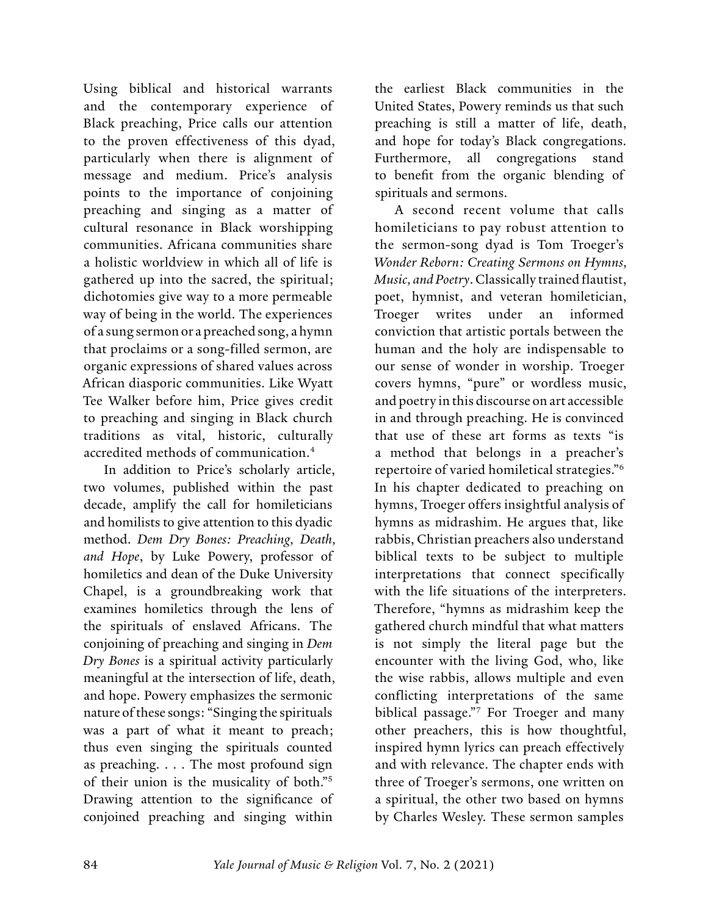<span id="page-3-0"></span>Using biblical and historical warrants and the contemporary experience of Black preaching, Price calls our attention to the proven effectiveness of this dyad, particularly when there is alignment of message and medium. Price's analysis points to the importance of conjoining preaching and singing as a matter of cultural resonance in Black worshipping communities. Africana communities share a holistic worldview in which all of life is gathered up into the sacred, the spiritual; dichotomies give way to a more permeable way of being in the world. The experiences of a sung sermon or a preached song, a hymn that proclaims or a song-filled sermon, are organic expressions of shared values across African diasporic communities. Like Wyatt Tee Walker before him, Price gives credit to preaching and singing in Black church traditions as vital, historic, culturally accredited methods of communication[.4](#page-15-0)

In addition to Price's scholarly article, two volumes, published within the past decade, amplify the call for homileticians and homilists to give attention to this dyadic method. *Dem Dry Bones: Preaching, Death, and Hope*, by Luke Powery, professor of homiletics and dean of the Duke University Chapel, is a groundbreaking work that examines homiletics through the lens of the spirituals of enslaved Africans. The conjoining of preaching and singing in *Dem Dry Bones* is a spiritual activity particularly meaningful at the intersection of life, death, and hope. Powery emphasizes the sermonic nature of these songs: "Singing the spirituals was a part of what it meant to preach; thus even singing the spirituals counted as preaching. . . . The most profound sign of their union is the musicality of both."[5](#page-15-0) Drawing attention to the significance of conjoined preaching and singing within

the earliest Black communities in the United States, Powery reminds us that such preaching is still a matter of life, death, and hope for today's Black congregations. Furthermore, all congregations stand to benefit from the organic blending of spirituals and sermons.

A second recent volume that calls homileticians to pay robust attention to the sermon-song dyad is Tom Troeger's *Wonder Reborn: Creating Sermons on Hymns, Music, and Poetry*. Classically trained flautist, poet, hymnist, and veteran homiletician, Troeger writes under an informed conviction that artistic portals between the human and the holy are indispensable to our sense of wonder in worship. Troeger covers hymns, "pure" or wordless music, and poetry in this discourse on art accessible in and through preaching. He is convinced that use of these art forms as texts "is a method that belongs in a preacher's repertoire of varied homiletical strategies."[6](#page-15-0) In his chapter dedicated to preaching on hymns, Troeger offers insightful analysis of hymns as midrashim. He argues that, like rabbis, Christian preachers also understand biblical texts to be subject to multiple interpretations that connect specifically with the life situations of the interpreters. Therefore, "hymns as midrashim keep the gathered church mindful that what matters is not simply the literal page but the encounter with the living God, who, like the wise rabbis, allows multiple and even conflicting interpretations of the same biblical passage."[7](#page-15-0) For Troeger and many other preachers, this is how thoughtful, inspired hymn lyrics can preach effectively and with relevance. The chapter ends with three of Troeger's sermons, one written on a spiritual, the other two based on hymns by Charles Wesley. These sermon samples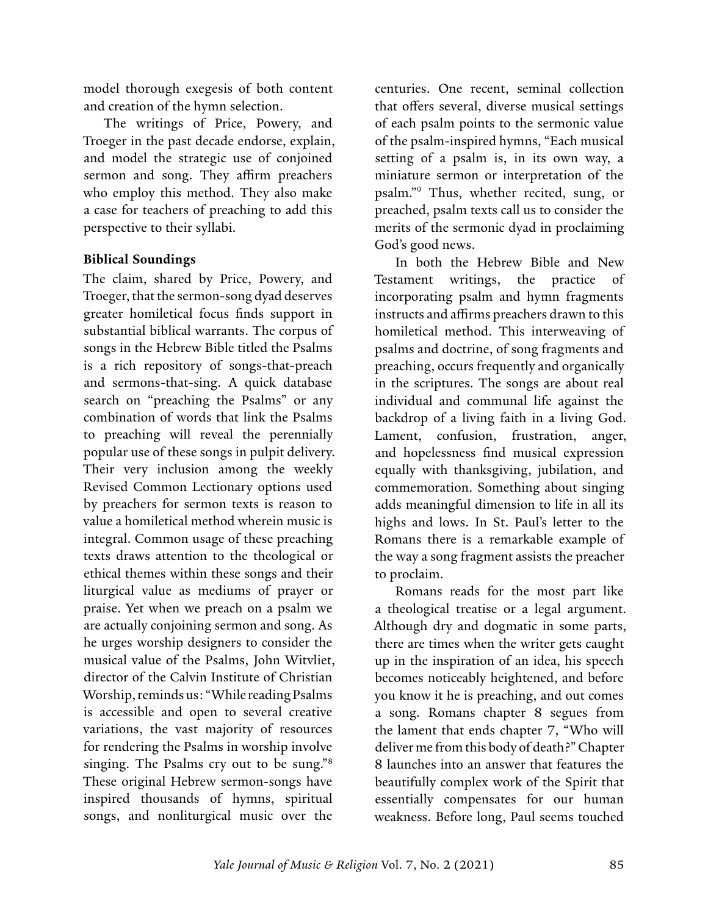<span id="page-4-0"></span>model thorough exegesis of both content and creation of the hymn selection.

The writings of Price, Powery, and Troeger in the past decade endorse, explain, and model the strategic use of conjoined sermon and song. They affirm preachers who employ this method. They also make a case for teachers of preaching to add this perspective to their syllabi.

#### **Biblical Soundings**

The claim, shared by Price, Powery, and Troeger, that the sermon-song dyad deserves greater homiletical focus finds support in substantial biblical warrants. The corpus of songs in the Hebrew Bible titled the Psalms is a rich repository of songs-that-preach and sermons-that-sing. A quick database search on "preaching the Psalms" or any combination of words that link the Psalms to preaching will reveal the perennially popular use of these songs in pulpit delivery. Their very inclusion among the weekly Revised Common Lectionary options used by preachers for sermon texts is reason to value a homiletical method wherein music is integral. Common usage of these preaching texts draws attention to the theological or ethical themes within these songs and their liturgical value as mediums of prayer or praise. Yet when we preach on a psalm we are actually conjoining sermon and song. As he urges worship designers to consider the musical value of the Psalms, John Witvliet, director of the Calvin Institute of Christian Worship, reminds us: "While reading Psalms is accessible and open to several creative variations, the vast majority of resources for rendering the Psalms in worship involve singing. The Psalms cry out to be sung."[8](#page-15-0) These original Hebrew sermon-songs have inspired thousands of hymns, spiritual songs, and nonliturgical music over the

centuries. One recent, seminal collection that offers several, diverse musical settings of each psalm points to the sermonic value of the psalm-inspired hymns, "Each musical setting of a psalm is, in its own way, a miniature sermon or interpretation of the psalm."[9](#page-15-0) Thus, whether recited, sung, or preached, psalm texts call us to consider the merits of the sermonic dyad in proclaiming God's good news.

In both the Hebrew Bible and New Testament writings, the practice of incorporating psalm and hymn fragments instructs and affirms preachers drawn to this homiletical method. This interweaving of psalms and doctrine, of song fragments and preaching, occurs frequently and organically in the scriptures. The songs are about real individual and communal life against the backdrop of a living faith in a living God. Lament, confusion, frustration, anger, and hopelessness find musical expression equally with thanksgiving, jubilation, and commemoration. Something about singing adds meaningful dimension to life in all its highs and lows. In St. Paul's letter to the Romans there is a remarkable example of the way a song fragment assists the preacher to proclaim.

Romans reads for the most part like a theological treatise or a legal argument. Although dry and dogmatic in some parts, there are times when the writer gets caught up in the inspiration of an idea, his speech becomes noticeably heightened, and before you know it he is preaching, and out comes a song. Romans chapter 8 segues from the lament that ends chapter 7, "Who will deliver me from this body of death?" Chapter 8 launches into an answer that features the beautifully complex work of the Spirit that essentially compensates for our human weakness. Before long, Paul seems touched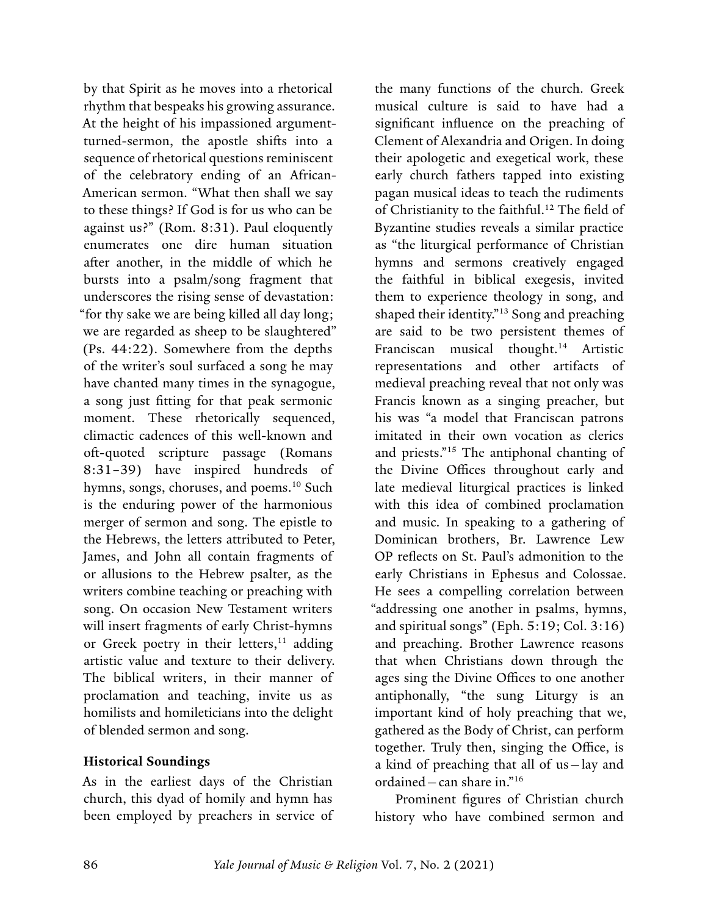<span id="page-5-0"></span>by that Spirit as he moves into a rhetorical rhythm that bespeaks his growing assurance. At the height of his impassioned argumentturned-sermon, the apostle shifts into a sequence of rhetorical questions reminiscent of the celebratory ending of an African-American sermon. "What then shall we say to these things? If God is for us who can be against us?" (Rom. 8:31). Paul eloquently enumerates one dire human situation after another, in the middle of which he bursts into a psalm/song fragment that underscores the rising sense of devastation: "for thy sake we are being killed all day long; we are regarded as sheep to be slaughtered" (Ps. 44:22). Somewhere from the depths of the writer's soul surfaced a song he may have chanted many times in the synagogue, a song just fitting for that peak sermonic moment. These rhetorically sequenced, climactic cadences of this well-known and oft-quoted scripture passage (Romans 8:31–39) have inspired hundreds of hymns, songs, choruses, and poems.<sup>10</sup> Such is the enduring power of the harmonious merger of sermon and song. The epistle to the Hebrews, the letters attributed to Peter, James, and John all contain fragments of or allusions to the Hebrew psalter, as the writers combine teaching or preaching with song. On occasion New Testament writers will insert fragments of early Christ-hymns or Greek poetry in their letters,<sup>[11](#page-15-0)</sup> adding artistic value and texture to their delivery. The biblical writers, in their manner of proclamation and teaching, invite us as homilists and homileticians into the delight of blended sermon and song.

#### **Historical Soundings**

As in the earliest days of the Christian church, this dyad of homily and hymn has been employed by preachers in service of

the many functions of the church. Greek musical culture is said to have had a significant influence on the preaching of Clement of Alexandria and Origen. In doing their apologetic and exegetical work, these early church fathers tapped into existing pagan musical ideas to teach the rudiments of Christianity to the faithful.<sup>12</sup> The field of Byzantine studies reveals a similar practice as "the liturgical performance of Christian hymns and sermons creatively engaged the faithful in biblical exegesis, invited them to experience theology in song, and shaped their identity."[13](#page-15-0) Song and preaching are said to be two persistent themes of Franciscan musical thought.[14](#page-15-0) Artistic representations and other artifacts of medieval preaching reveal that not only was Francis known as a singing preacher, but his was "a model that Franciscan patrons imitated in their own vocation as clerics and priests."[15](#page-15-0) The antiphonal chanting of the Divine Offices throughout early and late medieval liturgical practices is linked with this idea of combined proclamation and music. In speaking to a gathering of Dominican brothers, Br. Lawrence Lew OP reflects on St. Paul's admonition to the early Christians in Ephesus and Colossae. He sees a compelling correlation between "addressing one another in psalms, hymns, and spiritual songs" (Eph. 5:19; Col. 3:16) and preaching. Brother Lawrence reasons that when Christians down through the ages sing the Divine Offices to one another antiphonally, "the sung Liturgy is an important kind of holy preaching that we, gathered as the Body of Christ, can perform together. Truly then, singing the Office, is a kind of preaching that all of us—lay and ordained—can share in."[16](#page-15-0)

Prominent figures of Christian church history who have combined sermon and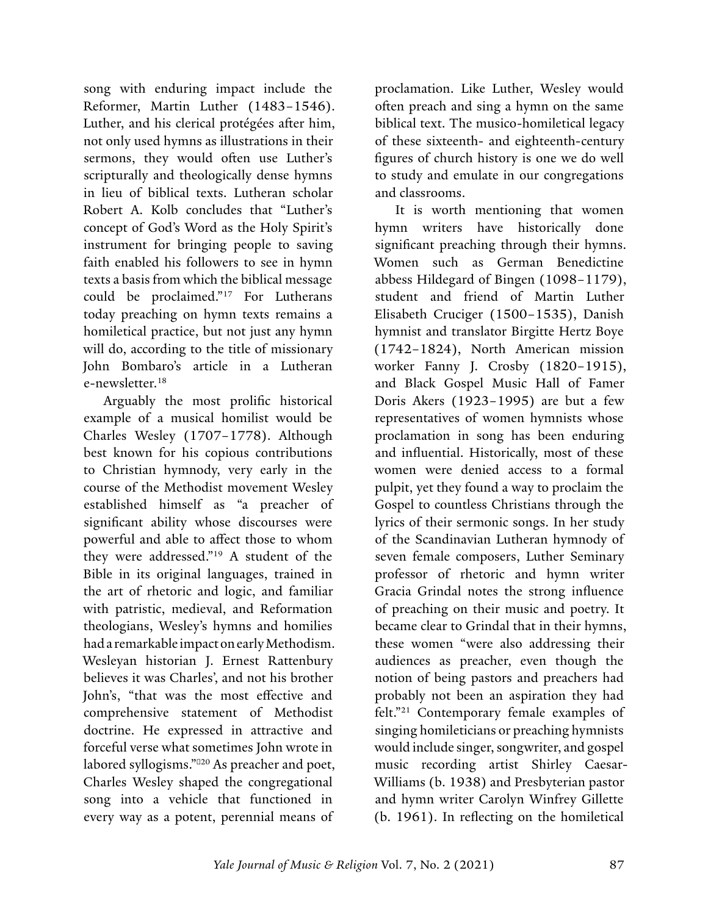<span id="page-6-0"></span>song with enduring impact include the Reformer, Martin Luther (1483–1546). Luther, and his clerical protégées after him, not only used hymns as illustrations in their sermons, they would often use Luther's scripturally and theologically dense hymns in lieu of biblical texts. Lutheran scholar Robert A. Kolb concludes that "Luther's concept of God's Word as the Holy Spirit's instrument for bringing people to saving faith enabled his followers to see in hymn texts a basis from which the biblical message could be proclaimed."[17](#page-15-0) For Lutherans today preaching on hymn texts remains a homiletical practice, but not just any hymn will do, according to the title of missionary John Bombaro's article in a Lutheran e-newsletter.[18](#page-15-0)

Arguably the most prolific historical example of a musical homilist would be Charles Wesley (1707–1778). Although best known for his copious contributions to Christian hymnody, very early in the course of the Methodist movement Wesley established himself as "a preacher of significant ability whose discourses were powerful and able to affect those to whom they were addressed."[19](#page-16-0) A student of the Bible in its original languages, trained in the art of rhetoric and logic, and familiar with patristic, medieval, and Reformation theologians, Wesley's hymns and homilies had a remarkable impact on early Methodism. Wesleyan historian J. Ernest Rattenbury believes it was Charles', and not his brother John's, "that was the most effective and comprehensive statement of Methodist doctrine. He expressed in attractive and forceful verse what sometimes John wrote in labored syllogisms." [20](#page-16-0) As preacher and poet, Charles Wesley shaped the congregational song into a vehicle that functioned in every way as a potent, perennial means of

proclamation. Like Luther, Wesley would often preach and sing a hymn on the same biblical text. The musico-homiletical legacy of these sixteenth- and eighteenth-century figures of church history is one we do well to study and emulate in our congregations and classrooms.

It is worth mentioning that women hymn writers have historically done significant preaching through their hymns. Women such as German Benedictine abbess Hildegard of Bingen (1098–1179), student and friend of Martin Luther Elisabeth Cruciger (1500–1535), Danish hymnist and translator Birgitte Hertz Boye (1742–1824), North American mission worker Fanny J. Crosby (1820–1915), and Black Gospel Music Hall of Famer Doris Akers (1923–1995) are but a few representatives of women hymnists whose proclamation in song has been enduring and influential. Historically, most of these women were denied access to a formal pulpit, yet they found a way to proclaim the Gospel to countless Christians through the lyrics of their sermonic songs. In her study of the Scandinavian Lutheran hymnody of seven female composers, Luther Seminary professor of rhetoric and hymn writer Gracia Grindal notes the strong influence of preaching on their music and poetry. It became clear to Grindal that in their hymns, these women "were also addressing their audiences as preacher, even though the notion of being pastors and preachers had probably not been an aspiration they had felt."[21](#page-16-0) Contemporary female examples of singing homileticians or preaching hymnists would include singer, songwriter, and gospel music recording artist Shirley Caesar-Williams (b. 1938) and Presbyterian pastor and hymn writer Carolyn Winfrey Gillette (b. 1961). In reflecting on the homiletical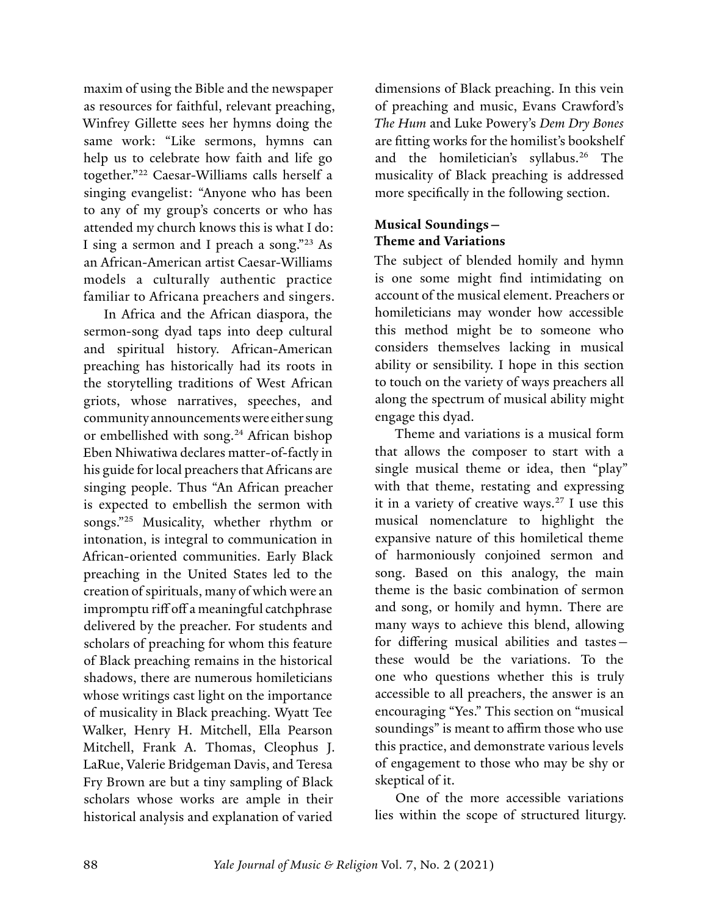<span id="page-7-0"></span>maxim of using the Bible and the newspaper as resources for faithful, relevant preaching, Winfrey Gillette sees her hymns doing the same work: "Like sermons, hymns can help us to celebrate how faith and life go together."[22](#page-16-0) Caesar-Williams calls herself a singing evangelist: "Anyone who has been to any of my group's concerts or who has attended my church knows this is what I do: I sing a sermon and I preach a song.["23](#page-16-0) As an African-American artist Caesar-Williams models a culturally authentic practice familiar to Africana preachers and singers.

In Africa and the African diaspora, the sermon-song dyad taps into deep cultural and spiritual history. African-American preaching has historically had its roots in the storytelling traditions of West African griots, whose narratives, speeches, and community announcements were either sung or embellished with song.<sup>24</sup> African bishop Eben Nhiwatiwa declares matter-of-factly in his guide for local preachers that Africans are singing people. Thus "An African preacher is expected to embellish the sermon with songs.["25](#page-16-0) Musicality, whether rhythm or intonation, is integral to communication in African-oriented communities. Early Black preaching in the United States led to the creation of spirituals, many of which were an impromptu riff off a meaningful catchphrase delivered by the preacher. For students and scholars of preaching for whom this feature of Black preaching remains in the historical shadows, there are numerous homileticians whose writings cast light on the importance of musicality in Black preaching. Wyatt Tee Walker, Henry H. Mitchell, Ella Pearson Mitchell, Frank A. Thomas, Cleophus J. LaRue, Valerie Bridgeman Davis, and Teresa Fry Brown are but a tiny sampling of Black scholars whose works are ample in their historical analysis and explanation of varied

dimensions of Black preaching. In this vein of preaching and music, Evans Crawford's *The Hum* and Luke Powery's *Dem Dry Bones* are fitting works for the homilist's bookshelf and the homiletician's syllabus.[26](#page-16-0) The musicality of Black preaching is addressed more specifically in the following section.

### **Musical Soundings— Theme and Variations**

The subject of blended homily and hymn is one some might find intimidating on account of the musical element. Preachers or homileticians may wonder how accessible this method might be to someone who considers themselves lacking in musical ability or sensibility. I hope in this section to touch on the variety of ways preachers all along the spectrum of musical ability might engage this dyad.

Theme and variations is a musical form that allows the composer to start with a single musical theme or idea, then "play" with that theme, restating and expressing it in a variety of creative ways.<sup>27</sup> I use this musical nomenclature to highlight the expansive nature of this homiletical theme of harmoniously conjoined sermon and song. Based on this analogy, the main theme is the basic combination of sermon and song, or homily and hymn. There are many ways to achieve this blend, allowing for differing musical abilities and tastes these would be the variations. To the one who questions whether this is truly accessible to all preachers, the answer is an encouraging "Yes." This section on "musical soundings" is meant to affirm those who use this practice, and demonstrate various levels of engagement to those who may be shy or skeptical of it.

One of the more accessible variations lies within the scope of structured liturgy.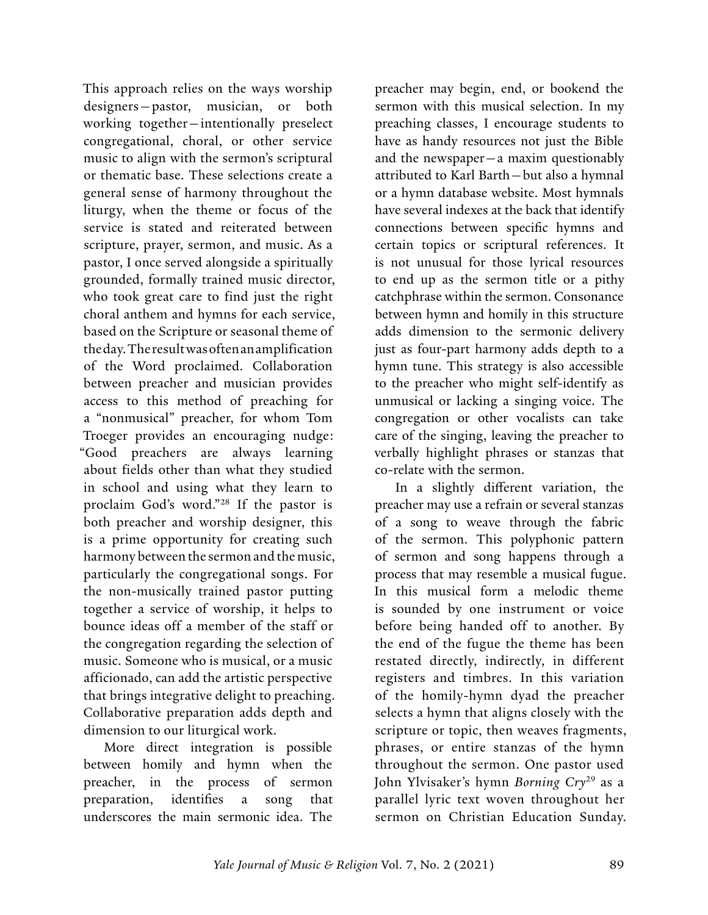<span id="page-8-0"></span>This approach relies on the ways worship designers—pastor, musician, or both working together—intentionally preselect congregational, choral, or other service music to align with the sermon's scriptural or thematic base. These selections create a general sense of harmony throughout the liturgy, when the theme or focus of the service is stated and reiterated between scripture, prayer, sermon, and music. As a pastor, I once served alongside a spiritually grounded, formally trained music director, who took great care to find just the right choral anthem and hymns for each service, based on the Scripture or seasonal theme of the day. The result was often an amplification of the Word proclaimed. Collaboration between preacher and musician provides access to this method of preaching for a "nonmusical" preacher, for whom Tom Troeger provides an encouraging nudge: "Good preachers are always learning about fields other than what they studied in school and using what they learn to proclaim God's word."[28](#page-16-0) If the pastor is both preacher and worship designer, this is a prime opportunity for creating such harmony between the sermon and the music, particularly the congregational songs. For the non-musically trained pastor putting together a service of worship, it helps to bounce ideas off a member of the staff or the congregation regarding the selection of music. Someone who is musical, or a music afficionado, can add the artistic perspective that brings integrative delight to preaching. Collaborative preparation adds depth and dimension to our liturgical work.

More direct integration is possible between homily and hymn when the preacher, in the process of sermon preparation, identifies a song that underscores the main sermonic idea. The

preacher may begin, end, or bookend the sermon with this musical selection. In my preaching classes, I encourage students to have as handy resources not just the Bible and the newspaper—a maxim questionably attributed to Karl Barth—but also a hymnal or a hymn database website. Most hymnals have several indexes at the back that identify connections between specific hymns and certain topics or scriptural references. It is not unusual for those lyrical resources to end up as the sermon title or a pithy catchphrase within the sermon. Consonance between hymn and homily in this structure adds dimension to the sermonic delivery just as four-part harmony adds depth to a hymn tune. This strategy is also accessible to the preacher who might self-identify as unmusical or lacking a singing voice. The congregation or other vocalists can take care of the singing, leaving the preacher to verbally highlight phrases or stanzas that co-relate with the sermon.

In a slightly different variation, the preacher may use a refrain or several stanzas of a song to weave through the fabric of the sermon. This polyphonic pattern of sermon and song happens through a process that may resemble a musical fugue. In this musical form a melodic theme is sounded by one instrument or voice before being handed off to another. By the end of the fugue the theme has been restated directly, indirectly, in different registers and timbres. In this variation of the homily-hymn dyad the preacher selects a hymn that aligns closely with the scripture or topic, then weaves fragments, phrases, or entire stanzas of the hymn throughout the sermon. One pastor used John Ylvisaker's hymn *Borning Cry*[29](#page-16-0) as a parallel lyric text woven throughout her sermon on Christian Education Sunday.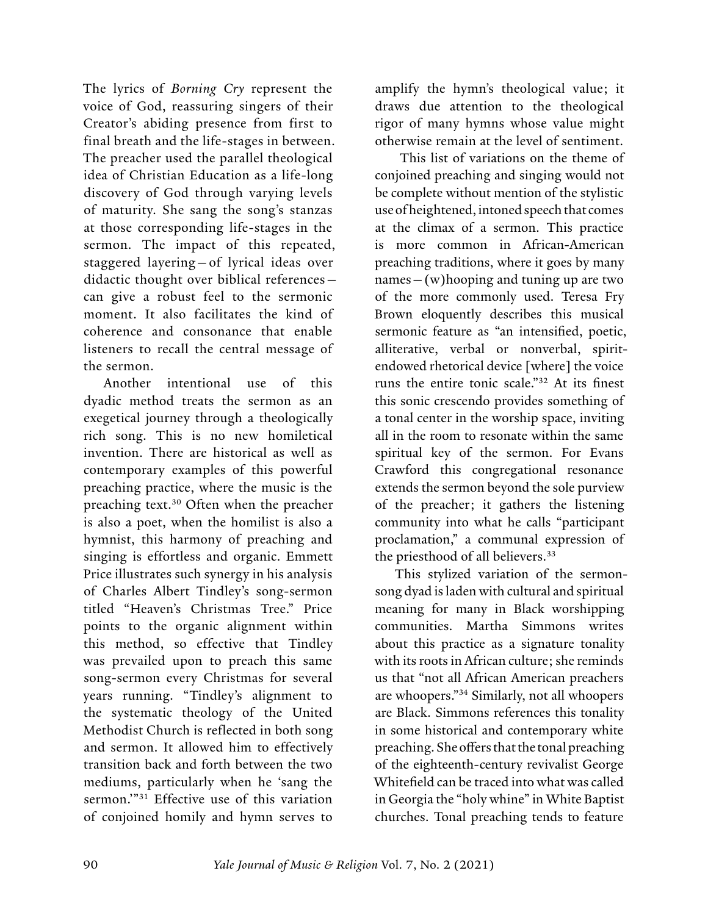<span id="page-9-0"></span>The lyrics of *Borning Cry* represent the voice of God, reassuring singers of their Creator's abiding presence from first to final breath and the life-stages in between. The preacher used the parallel theological idea of Christian Education as a life-long discovery of God through varying levels of maturity. She sang the song's stanzas at those corresponding life-stages in the sermon. The impact of this repeated, staggered layering—of lyrical ideas over didactic thought over biblical references can give a robust feel to the sermonic moment. It also facilitates the kind of coherence and consonance that enable listeners to recall the central message of the sermon.

Another intentional use of this dyadic method treats the sermon as an exegetical journey through a theologically rich song. This is no new homiletical invention. There are historical as well as contemporary examples of this powerful preaching practice, where the music is the preaching text.[30](#page-16-0) Often when the preacher is also a poet, when the homilist is also a hymnist, this harmony of preaching and singing is effortless and organic. Emmett Price illustrates such synergy in his analysis of Charles Albert Tindley's song-sermon titled "Heaven's Christmas Tree." Price points to the organic alignment within this method, so effective that Tindley was prevailed upon to preach this same song-sermon every Christmas for several years running. "Tindley's alignment to the systematic theology of the United Methodist Church is reflected in both song and sermon. It allowed him to effectively transition back and forth between the two mediums, particularly when he 'sang the sermon."<sup>31</sup> Effective use of this variation of conjoined homily and hymn serves to

amplify the hymn's theological value; it draws due attention to the theological rigor of many hymns whose value might otherwise remain at the level of sentiment.

 This list of variations on the theme of conjoined preaching and singing would not be complete without mention of the stylistic use of heightened, intoned speech that comes at the climax of a sermon. This practice is more common in African-American preaching traditions, where it goes by many names—(w)hooping and tuning up are two of the more commonly used. Teresa Fry Brown eloquently describes this musical sermonic feature as "an intensified, poetic, alliterative, verbal or nonverbal, spiritendowed rhetorical device [where] the voice runs the entire tonic scale."[32](#page-16-0) At its finest this sonic crescendo provides something of a tonal center in the worship space, inviting all in the room to resonate within the same spiritual key of the sermon. For Evans Crawford this congregational resonance extends the sermon beyond the sole purview of the preacher; it gathers the listening community into what he calls "participant proclamation," a communal expression of the priesthood of all believers.<sup>[33](#page-16-0)</sup>

This stylized variation of the sermonsong dyad is laden with cultural and spiritual meaning for many in Black worshipping communities. Martha Simmons writes about this practice as a signature tonality with its roots in African culture; she reminds us that "not all African American preachers are whoopers."[34](#page-16-0) Similarly, not all whoopers are Black. Simmons references this tonality in some historical and contemporary white preaching. She offers that the tonal preaching of the eighteenth-century revivalist George Whitefield can be traced into what was called in Georgia the "holy whine" in White Baptist churches. Tonal preaching tends to feature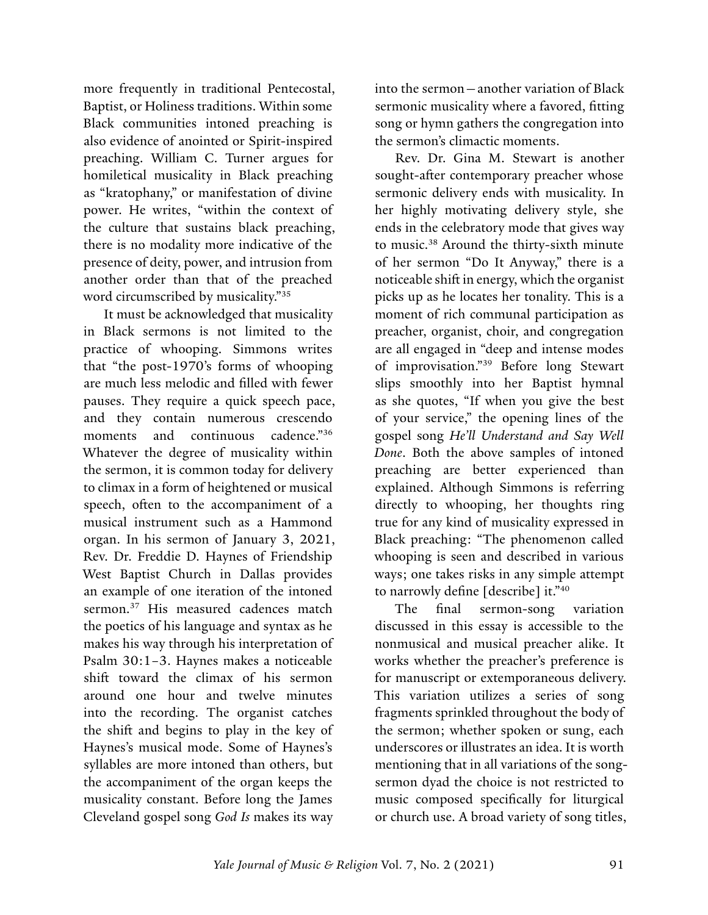<span id="page-10-0"></span>more frequently in traditional Pentecostal, Baptist, or Holiness traditions. Within some Black communities intoned preaching is also evidence of anointed or Spirit-inspired preaching. William C. Turner argues for homiletical musicality in Black preaching as "kratophany," or manifestation of divine power. He writes, "within the context of the culture that sustains black preaching, there is no modality more indicative of the presence of deity, power, and intrusion from another order than that of the preached word circumscribed by musicality."[35](#page-16-0)

It must be acknowledged that musicality in Black sermons is not limited to the practice of whooping. Simmons writes that "the post-1970's forms of whooping are much less melodic and filled with fewer pauses. They require a quick speech pace, and they contain numerous crescendo moments and continuous cadence."[36](#page-16-0) Whatever the degree of musicality within the sermon, it is common today for delivery to climax in a form of heightened or musical speech, often to the accompaniment of a musical instrument such as a Hammond organ. In his sermon of January 3, 2021, Rev. Dr. Freddie D. Haynes of Friendship West Baptist Church in Dallas provides an example of one iteration of the intoned sermon.<sup>37</sup> His measured cadences match the poetics of his language and syntax as he makes his way through his interpretation of Psalm 30:1–3. Haynes makes a noticeable shift toward the climax of his sermon around one hour and twelve minutes into the recording. The organist catches the shift and begins to play in the key of Haynes's musical mode. Some of Haynes's syllables are more intoned than others, but the accompaniment of the organ keeps the musicality constant. Before long the James Cleveland gospel song *God Is* makes its way

into the sermon—another variation of Black sermonic musicality where a favored, fitting song or hymn gathers the congregation into the sermon's climactic moments.

Rev. Dr. Gina M. Stewart is another sought-after contemporary preacher whose sermonic delivery ends with musicality. In her highly motivating delivery style, she ends in the celebratory mode that gives way to music.[38](#page-16-0) Around the thirty-sixth minute of her sermon "Do It Anyway," there is a noticeable shift in energy, which the organist picks up as he locates her tonality. This is a moment of rich communal participation as preacher, organist, choir, and congregation are all engaged in "deep and intense modes of improvisation."[39](#page-16-0) Before long Stewart slips smoothly into her Baptist hymnal as she quotes, "If when you give the best of your service," the opening lines of the gospel song *He'll Understand and Say Well Done*. Both the above samples of intoned preaching are better experienced than explained. Although Simmons is referring directly to whooping, her thoughts ring true for any kind of musicality expressed in Black preaching: "The phenomenon called whooping is seen and described in various ways; one takes risks in any simple attempt to narrowly define [describe] it."[40](#page-16-0)

The final sermon-song variation discussed in this essay is accessible to the nonmusical and musical preacher alike. It works whether the preacher's preference is for manuscript or extemporaneous delivery. This variation utilizes a series of song fragments sprinkled throughout the body of the sermon; whether spoken or sung, each underscores or illustrates an idea. It is worth mentioning that in all variations of the songsermon dyad the choice is not restricted to music composed specifically for liturgical or church use. A broad variety of song titles,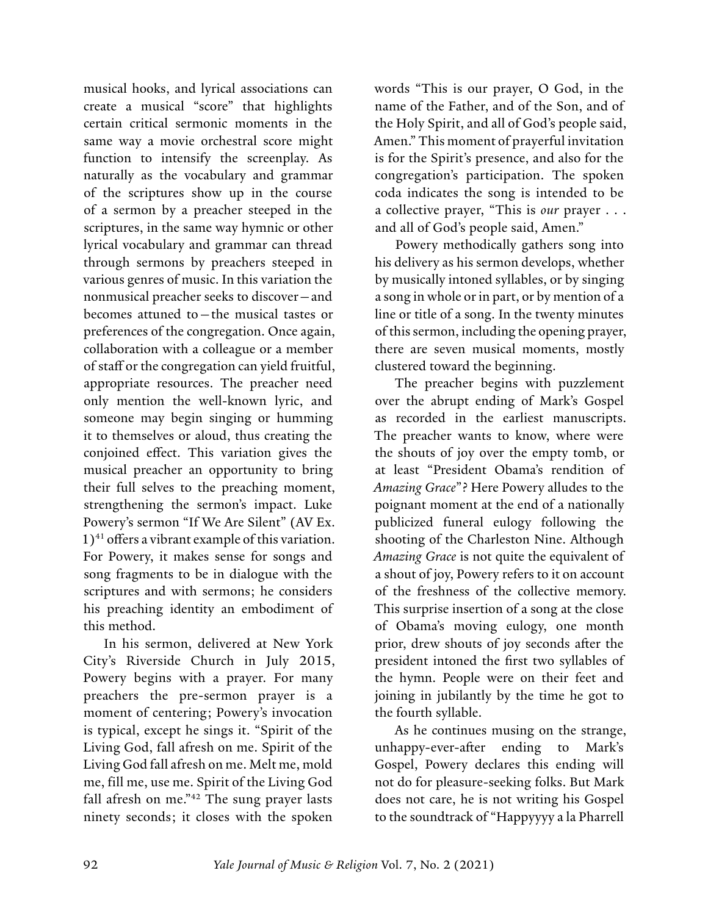<span id="page-11-0"></span>musical hooks, and lyrical associations can create a musical "score" that highlights certain critical sermonic moments in the same way a movie orchestral score might function to intensify the screenplay. As naturally as the vocabulary and grammar of the scriptures show up in the course of a sermon by a preacher steeped in the scriptures, in the same way hymnic or other lyrical vocabulary and grammar can thread through sermons by preachers steeped in various genres of music. In this variation the nonmusical preacher seeks to discover—and becomes attuned to—the musical tastes or preferences of the congregation. Once again, collaboration with a colleague or a member of staff or the congregation can yield fruitful, appropriate resources. The preacher need only mention the well-known lyric, and someone may begin singing or humming it to themselves or aloud, thus creating the conjoined effect. This variation gives the musical preacher an opportunity to bring their full selves to the preaching moment, strengthening the sermon's impact. Luke Powery's sermon "If We Are Silent" (AV Ex.  $1)$ <sup>41</sup> offers a vibrant example of this variation. For Powery, it makes sense for songs and song fragments to be in dialogue with the scriptures and with sermons; he considers his preaching identity an embodiment of this method.

In his sermon, delivered at New York City's Riverside Church in July 2015, Powery begins with a prayer. For many preachers the pre-sermon prayer is a moment of centering; Powery's invocation is typical, except he sings it. "Spirit of the Living God, fall afresh on me. Spirit of the Living God fall afresh on me. Melt me, mold me, fill me, use me. Spirit of the Living God fall afresh on me."<sup>42</sup> The sung prayer lasts ninety seconds; it closes with the spoken

words "This is our prayer, O God, in the name of the Father, and of the Son, and of the Holy Spirit, and all of God's people said, Amen." This moment of prayerful invitation is for the Spirit's presence, and also for the congregation's participation. The spoken coda indicates the song is intended to be a collective prayer, "This is *our* prayer . . . and all of God's people said, Amen."

Powery methodically gathers song into his delivery as his sermon develops, whether by musically intoned syllables, or by singing a song in whole or in part, or by mention of a line or title of a song. In the twenty minutes of this sermon, including the opening prayer, there are seven musical moments, mostly clustered toward the beginning.

The preacher begins with puzzlement over the abrupt ending of Mark's Gospel as recorded in the earliest manuscripts. The preacher wants to know, where were the shouts of joy over the empty tomb, or at least "President Obama's rendition of *Amazing Grace*"? Here Powery alludes to the poignant moment at the end of a nationally publicized funeral eulogy following the shooting of the Charleston Nine. Although *Amazing Grace* is not quite the equivalent of a shout of joy, Powery refers to it on account of the freshness of the collective memory. This surprise insertion of a song at the close of Obama's moving eulogy, one month prior, drew shouts of joy seconds after the president intoned the first two syllables of the hymn. People were on their feet and joining in jubilantly by the time he got to the fourth syllable.

As he continues musing on the strange, unhappy-ever-after ending to Mark's Gospel, Powery declares this ending will not do for pleasure-seeking folks. But Mark does not care, he is not writing his Gospel to the soundtrack of "Happyyyy a la Pharrell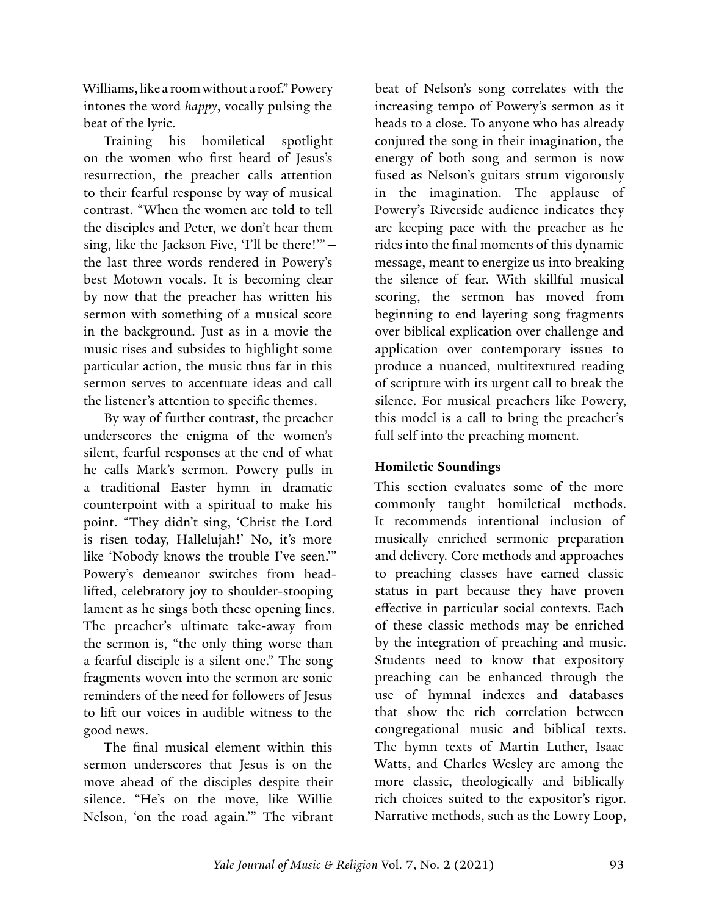Williams, like a room without a roof." Powery intones the word *happy*, vocally pulsing the beat of the lyric.

Training his homiletical spotlight on the women who first heard of Jesus's resurrection, the preacher calls attention to their fearful response by way of musical contrast. "When the women are told to tell the disciples and Peter, we don't hear them sing, like the Jackson Five, 'I'll be there!'" the last three words rendered in Powery's best Motown vocals. It is becoming clear by now that the preacher has written his sermon with something of a musical score in the background. Just as in a movie the music rises and subsides to highlight some particular action, the music thus far in this sermon serves to accentuate ideas and call the listener's attention to specific themes.

By way of further contrast, the preacher underscores the enigma of the women's silent, fearful responses at the end of what he calls Mark's sermon. Powery pulls in a traditional Easter hymn in dramatic counterpoint with a spiritual to make his point. "They didn't sing, 'Christ the Lord is risen today, Hallelujah!' No, it's more like 'Nobody knows the trouble I've seen.'" Powery's demeanor switches from headlifted, celebratory joy to shoulder-stooping lament as he sings both these opening lines. The preacher's ultimate take-away from the sermon is, "the only thing worse than a fearful disciple is a silent one." The song fragments woven into the sermon are sonic reminders of the need for followers of Jesus to lift our voices in audible witness to the good news.

The final musical element within this sermon underscores that Jesus is on the move ahead of the disciples despite their silence. "He's on the move, like Willie Nelson, 'on the road again.'" The vibrant beat of Nelson's song correlates with the increasing tempo of Powery's sermon as it heads to a close. To anyone who has already conjured the song in their imagination, the energy of both song and sermon is now fused as Nelson's guitars strum vigorously in the imagination. The applause of Powery's Riverside audience indicates they are keeping pace with the preacher as he rides into the final moments of this dynamic message, meant to energize us into breaking the silence of fear. With skillful musical scoring, the sermon has moved from beginning to end layering song fragments over biblical explication over challenge and application over contemporary issues to produce a nuanced, multitextured reading of scripture with its urgent call to break the silence. For musical preachers like Powery, this model is a call to bring the preacher's full self into the preaching moment.

## **Homiletic Soundings**

This section evaluates some of the more commonly taught homiletical methods. It recommends intentional inclusion of musically enriched sermonic preparation and delivery. Core methods and approaches to preaching classes have earned classic status in part because they have proven effective in particular social contexts. Each of these classic methods may be enriched by the integration of preaching and music. Students need to know that expository preaching can be enhanced through the use of hymnal indexes and databases that show the rich correlation between congregational music and biblical texts. The hymn texts of Martin Luther, Isaac Watts, and Charles Wesley are among the more classic, theologically and biblically rich choices suited to the expositor's rigor. Narrative methods, such as the Lowry Loop,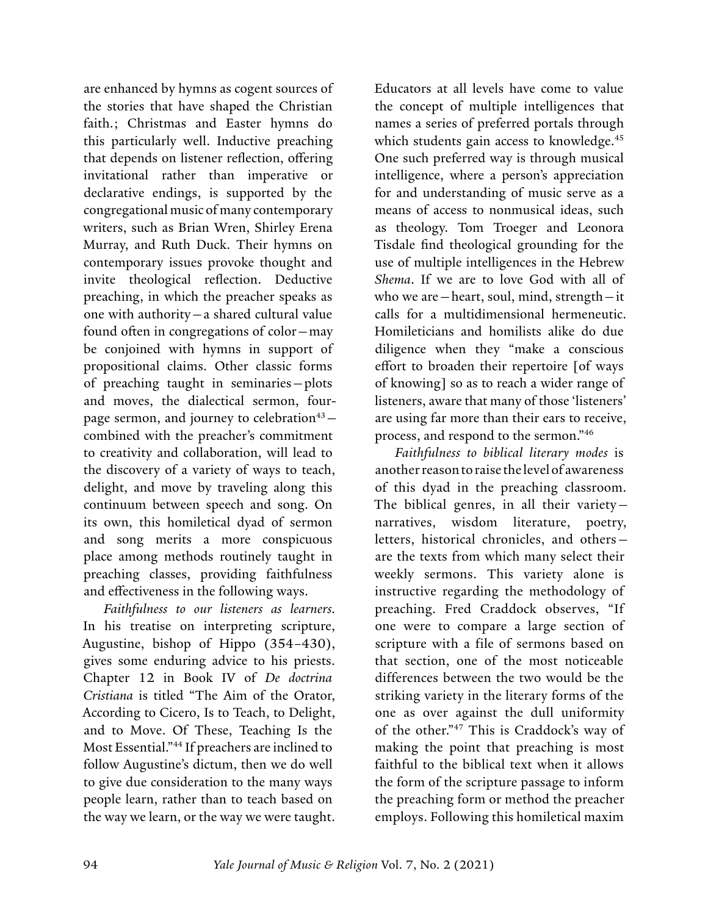<span id="page-13-0"></span>are enhanced by hymns as cogent sources of the stories that have shaped the Christian faith.; Christmas and Easter hymns do this particularly well. Inductive preaching that depends on listener reflection, offering invitational rather than imperative or declarative endings, is supported by the congregational music of many contemporary writers, such as Brian Wren, Shirley Erena Murray, and Ruth Duck. Their hymns on contemporary issues provoke thought and invite theological reflection. Deductive preaching, in which the preacher speaks as one with authority—a shared cultural value found often in congregations of color—may be conjoined with hymns in support of propositional claims. Other classic forms of preaching taught in seminaries—plots and moves, the dialectical sermon, fourpage sermon, and journey to celebration<sup>43</sup>combined with the preacher's commitment to creativity and collaboration, will lead to the discovery of a variety of ways to teach, delight, and move by traveling along this continuum between speech and song. On its own, this homiletical dyad of sermon and song merits a more conspicuous place among methods routinely taught in preaching classes, providing faithfulness and effectiveness in the following ways.

*Faithfulness to our listeners as learners.*  In his treatise on interpreting scripture, Augustine, bishop of Hippo (354–430), gives some enduring advice to his priests. Chapter 12 in Book IV of *De doctrina Cristiana* is titled "The Aim of the Orator, According to Cicero, Is to Teach, to Delight, and to Move. Of These, Teaching Is the Most Essential."[44](#page-16-0) If preachers are inclined to follow Augustine's dictum, then we do well to give due consideration to the many ways people learn, rather than to teach based on the way we learn, or the way we were taught.

Educators at all levels have come to value the concept of multiple intelligences that names a series of preferred portals through which students gain access to knowledge.<sup>[45](#page-16-0)</sup> One such preferred way is through musical intelligence, where a person's appreciation for and understanding of music serve as a means of access to nonmusical ideas, such as theology. Tom Troeger and Leonora Tisdale find theological grounding for the use of multiple intelligences in the Hebrew *Shema*. If we are to love God with all of who we are—heart, soul, mind, strength—it calls for a multidimensional hermeneutic. Homileticians and homilists alike do due diligence when they "make a conscious effort to broaden their repertoire [of ways of knowing] so as to reach a wider range of listeners, aware that many of those 'listeners' are using far more than their ears to receive, process, and respond to the sermon."[46](#page-16-0)

*Faithfulness to biblical literary modes* is another reason to raise the level of awareness of this dyad in the preaching classroom. The biblical genres, in all their variety narratives, wisdom literature, poetry, letters, historical chronicles, and others are the texts from which many select their weekly sermons. This variety alone is instructive regarding the methodology of preaching. Fred Craddock observes, "If one were to compare a large section of scripture with a file of sermons based on that section, one of the most noticeable differences between the two would be the striking variety in the literary forms of the one as over against the dull uniformity of the other."[47](#page-16-0) This is Craddock's way of making the point that preaching is most faithful to the biblical text when it allows the form of the scripture passage to inform the preaching form or method the preacher employs. Following this homiletical maxim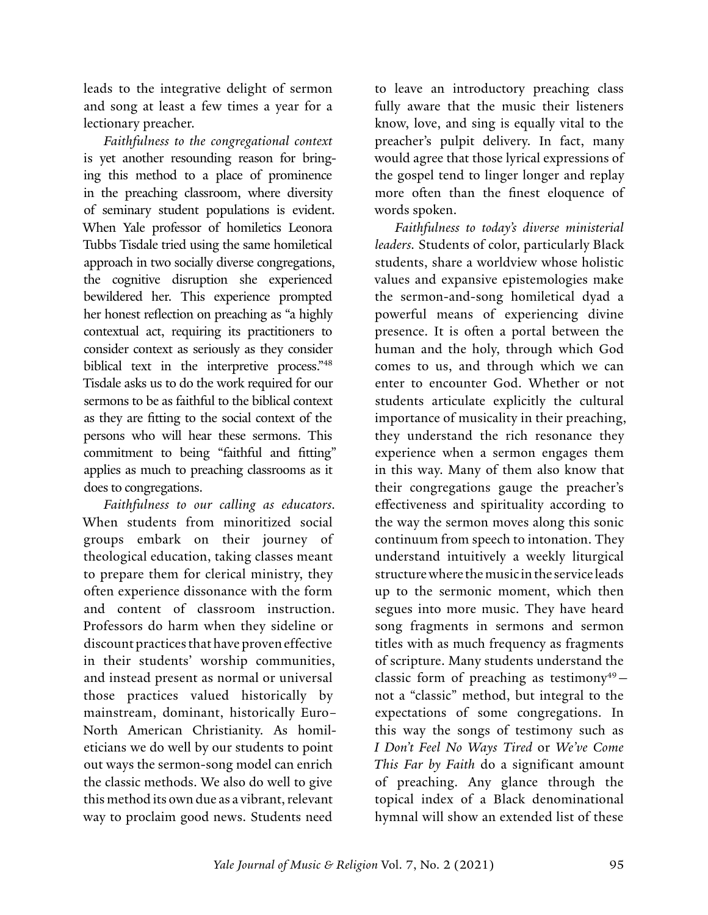<span id="page-14-0"></span>leads to the integrative delight of sermon and song at least a few times a year for a lectionary preacher.

*Faithfulness to the congregational context* is yet another resounding reason for bringing this method to a place of prominence in the preaching classroom, where diversity of seminary student populations is evident. When Yale professor of homiletics Leonora Tubbs Tisdale tried using the same homiletical approach in two socially diverse congregations, the cognitive disruption she experienced bewildered her. This experience prompted her honest reflection on preaching as "a highly contextual act, requiring its practitioners to consider context as seriously as they consider biblical text in the interpretive process.["48](#page-16-0) Tisdale asks us to do the work required for our sermons to be as faithful to the biblical context as they are fitting to the social context of the persons who will hear these sermons. This commitment to being "faithful and fitting" applies as much to preaching classrooms as it does to congregations.

*Faithfulness to our calling as educators.* When students from minoritized social groups embark on their journey of theological education, taking classes meant to prepare them for clerical ministry, they often experience dissonance with the form and content of classroom instruction. Professors do harm when they sideline or discount practices that have proven effective in their students' worship communities, and instead present as normal or universal those practices valued historically by mainstream, dominant, historically Euro– North American Christianity. As homileticians we do well by our students to point out ways the sermon-song model can enrich the classic methods. We also do well to give this method its own due as a vibrant, relevant way to proclaim good news. Students need

to leave an introductory preaching class fully aware that the music their listeners know, love, and sing is equally vital to the preacher's pulpit delivery. In fact, many would agree that those lyrical expressions of the gospel tend to linger longer and replay more often than the finest eloquence of words spoken.

*Faithfulness to today's diverse ministerial leaders.* Students of color, particularly Black students, share a worldview whose holistic values and expansive epistemologies make the sermon-and-song homiletical dyad a powerful means of experiencing divine presence. It is often a portal between the human and the holy, through which God comes to us, and through which we can enter to encounter God. Whether or not students articulate explicitly the cultural importance of musicality in their preaching, they understand the rich resonance they experience when a sermon engages them in this way. Many of them also know that their congregations gauge the preacher's effectiveness and spirituality according to the way the sermon moves along this sonic continuum from speech to intonation. They understand intuitively a weekly liturgical structure where the music in the service leads up to the sermonic moment, which then segues into more music. They have heard song fragments in sermons and sermon titles with as much frequency as fragments of scripture. Many students understand the classic form of preaching as testimony<sup>49</sup>not a "classic" method, but integral to the expectations of some congregations. In this way the songs of testimony such as *I Don't Feel No Ways Tired* or *We've Come This Far by Faith* do a significant amount of preaching. Any glance through the topical index of a Black denominational hymnal will show an extended list of these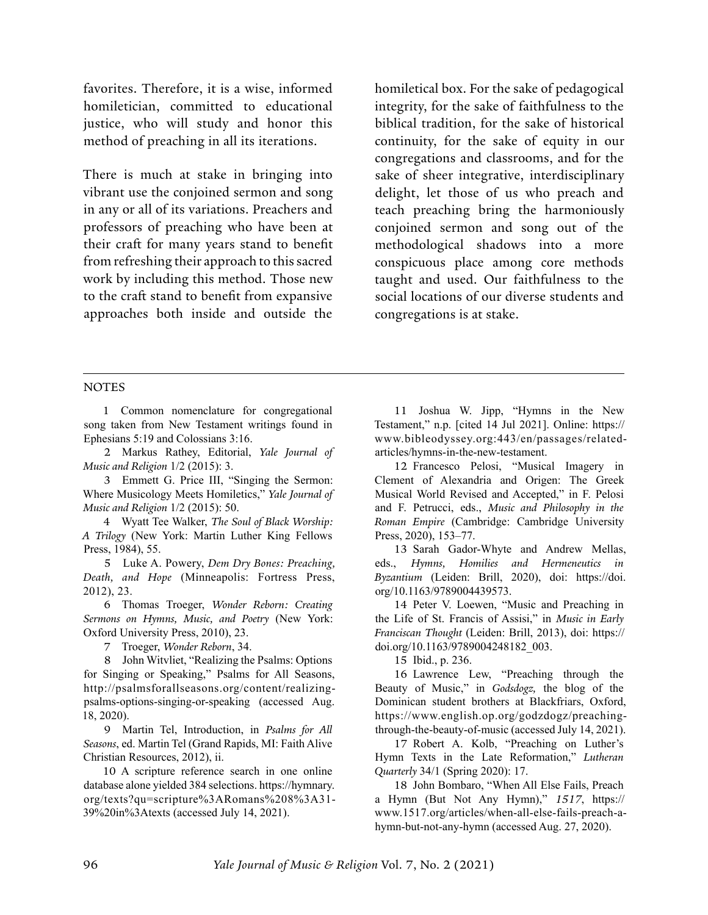<span id="page-15-0"></span>favorites. Therefore, it is a wise, informed homiletician, committed to educational justice, who will study and honor this method of preaching in all its iterations.

There is much at stake in bringing into vibrant use the conjoined sermon and song in any or all of its variations. Preachers and professors of preaching who have been at their craft for many years stand to benefit from refreshing their approach to this sacred work by including this method. Those new to the craft stand to benefit from expansive approaches both inside and outside the

homiletical box. For the sake of pedagogical integrity, for the sake of faithfulness to the biblical tradition, for the sake of historical continuity, for the sake of equity in our congregations and classrooms, and for the sake of sheer integrative, interdisciplinary delight, let those of us who preach and teach preaching bring the harmoniously conjoined sermon and song out of the methodological shadows into a more conspicuous place among core methods taught and used. Our faithfulness to the social locations of our diverse students and congregations is at stake.

#### **NOTES**

[1](#page-2-0) Common nomenclature for congregational song taken from New Testament writings found in Ephesians 5:19 and Colossians 3:16.

[2](#page-2-0) Markus Rathey, Editorial, *Yale Journal of Music and Religion* 1/2 (2015): 3.

[3](#page-2-0) Emmett G. Price III, "Singing the Sermon: Where Musicology Meets Homiletics," *Yale Journal of Music and Religion* 1/2 (2015): 50.

[4](#page-3-0) Wyatt Tee Walker, *The Soul of Black Worship: A Trilogy* (New York: Martin Luther King Fellows Press, 1984), 55.

[5](#page-3-0) Luke A. Powery, *Dem Dry Bones: Preaching, Death, and Hope* (Minneapolis: Fortress Press, 2012), 23.

[6](#page-3-0) Thomas Troeger, *Wonder Reborn: Creating Sermons on Hymns, Music, and Poetry* (New York: Oxford University Press, 2010), 23.

[7](#page-3-0) Troeger, *Wonder Reborn*, 34.

[8](#page-4-0) John Witvliet, "Realizing the Psalms: Options for Singing or Speaking," Psalms for All Seasons, [http://psalmsforallseasons.org/content/realizing](http://psalmsforallseasons.org/content/realizing-psalms-options-singing-or-speaking)[psalms-options-singing-or-speaking](http://psalmsforallseasons.org/content/realizing-psalms-options-singing-or-speaking) (accessed Aug. 18, 2020).

[9](#page-4-0) Martin Tel, Introduction, in *Psalms for All Seasons*, ed. Martin Tel (Grand Rapids, MI: Faith Alive Christian Resources, 2012), ii.

[10](#page-5-0) A scripture reference search in one online database alone yielded 384 selections. [https://hymnary.](https://hymnary.org/texts?qu=scripture%3ARomans%208%3A31-39%20in%3Atexts) [org/texts?qu=scripture%3ARomans%208%3A31-](https://hymnary.org/texts?qu=scripture%3ARomans%208%3A31-39%20in%3Atexts) [39%20in%3Atexts](https://hymnary.org/texts?qu=scripture%3ARomans%208%3A31-39%20in%3Atexts) (accessed July 14, 2021).

[11](#page-5-0) Joshua W. Jipp, "Hymns in the New Testament," n.p. [cited 14 Jul 2021]. Online: [https://](https://www.bibleodyssey.org:443/en/passages/related-articles/hymns-in-the-new-testament) [www.bibleodyssey.org:443/en/passages/related](https://www.bibleodyssey.org:443/en/passages/related-articles/hymns-in-the-new-testament)[articles/hymns-in-the-new-testament](https://www.bibleodyssey.org:443/en/passages/related-articles/hymns-in-the-new-testament).

[12](#page-5-0) Francesco Pelosi, "Musical Imagery in Clement of Alexandria and Origen: The Greek Musical World Revised and Accepted," in F. Pelosi and F. Petrucci, eds., *Music and Philosophy in the Roman Empire* (Cambridge: Cambridge University Press, 2020), 153–77.

[13](#page-5-0) Sarah Gador-Whyte and Andrew Mellas, eds., *Hymns, Homilies and Hermeneutics in Byzantium* (Leiden: Brill, 2020), doi: [https://doi.](https://doi.org/10.1163/9789004439573) [org/10.1163/9789004439573](https://doi.org/10.1163/9789004439573).

[14](#page-5-0) Peter V. Loewen, "Music and Preaching in the Life of St. Francis of Assisi," in *Music in Early Franciscan Thought* (Leiden: Brill, 2013), doi: [https://](https://doi.org/10.1163/9789004248182_003) [doi.org/10.1163/9789004248182\\_003.](https://doi.org/10.1163/9789004248182_003)

[15](#page-5-0) Ibid., p. 236.

[16](#page-5-0) Lawrence Lew, "Preaching through the Beauty of Music," in *Godsdogz,* the blog of the Dominican student brothers at Blackfriars, Oxford, [https://www.english.op.org/godzdogz/preaching](https://www.english.op.org/godzdogz/preaching-through-the-beauty-of-music)[through-the-beauty-of-music](https://www.english.op.org/godzdogz/preaching-through-the-beauty-of-music) (accessed July 14, 2021).

[17](#page-6-0) Robert A. Kolb, "Preaching on Luther's Hymn Texts in the Late Reformation," *Lutheran Quarterly* 34/1 (Spring 2020): 17.

[18](#page-6-0) John Bombaro, "When All Else Fails, Preach a Hymn (But Not Any Hymn)," *1517*, [https://](https://www.1517.org/articles/when-all-else-fails-preach-a-hymn-but-not-any-hymn) [www.1517.org/articles/when-all-else-fails-preach-a](https://www.1517.org/articles/when-all-else-fails-preach-a-hymn-but-not-any-hymn)[hymn-but-not-any-hymn](https://www.1517.org/articles/when-all-else-fails-preach-a-hymn-but-not-any-hymn) (accessed Aug. 27, 2020).